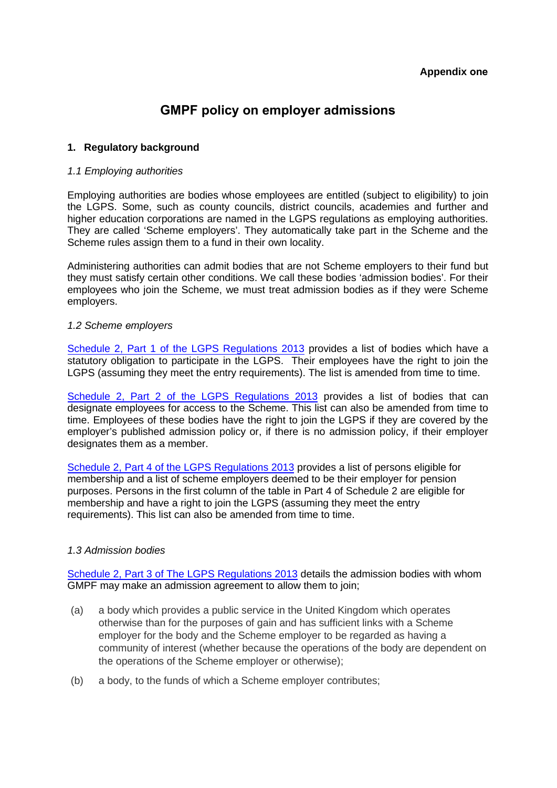# **GMPF policy on employer admissions**

# **1. Regulatory background**

## *1.1 Employing authorities*

Employing authorities are bodies whose employees are entitled (subject to eligibility) to join the LGPS. Some, such as county councils, district councils, academies and further and higher education corporations are named in the LGPS regulations as employing authorities. They are called 'Scheme employers'. They automatically take part in the Scheme and the Scheme rules assign them to a fund in their own locality.

Administering authorities can admit bodies that are not Scheme employers to their fund but they must satisfy certain other conditions. We call these bodies 'admission bodies'. For their employees who join the Scheme, we must treat admission bodies as if they were Scheme employers.

## *1.2 Scheme employers*

Schedule 2, Part 1 of t[he LGPS Regulations 2013](http://www.lgpsregs.org/index.php/schedule-2?showall=&limitstart=) provides a list of bodies which have a statutory obligation to participate in the LGPS. Their employees have the right to join the LGPS (assuming they meet the entry requirements). The list is amended from time to time.

Schedule 2, Part 2 of t[he LGPS Regulations 2013](http://www.lgpsregs.org/index.php/schedule-2?showall=&start=1) provides a list of bodies that can designate employees for access to the Scheme. This list can also be amended from time to time. Employees of these bodies have the right to join the LGPS if they are covered by the employer's published admission policy or, if there is no admission policy, if their employer designates them as a member.

Schedule 2, Part 4 of t[he LGPS Regulations 2013](http://www.lgpsregs.org/index.php/schedule-2?showall=&start=3) provides a list of persons eligible for membership and a list of scheme employers deemed to be their employer for pension purposes. Persons in the first column of the table in Part 4 of Schedule 2 are eligible for membership and have a right to join the LGPS (assuming they meet the entry requirements). This list can also be amended from time to time.

# *1.3 Admission bodies*

Schedule 2, Part 3 of [The LGPS Regulations 2013](http://www.lgpsregs.org/index.php/schedule-2?showall=&start=2) details the admission bodies with whom GMPF may make an admission agreement to allow them to join;

- (a) a body which provides a public service in the United Kingdom which operates otherwise than for the purposes of gain and has sufficient links with a Scheme employer for the body and the Scheme employer to be regarded as having a community of interest (whether because the operations of the body are dependent on the operations of the Scheme employer or otherwise);
- (b) a body, to the funds of which a Scheme employer contributes;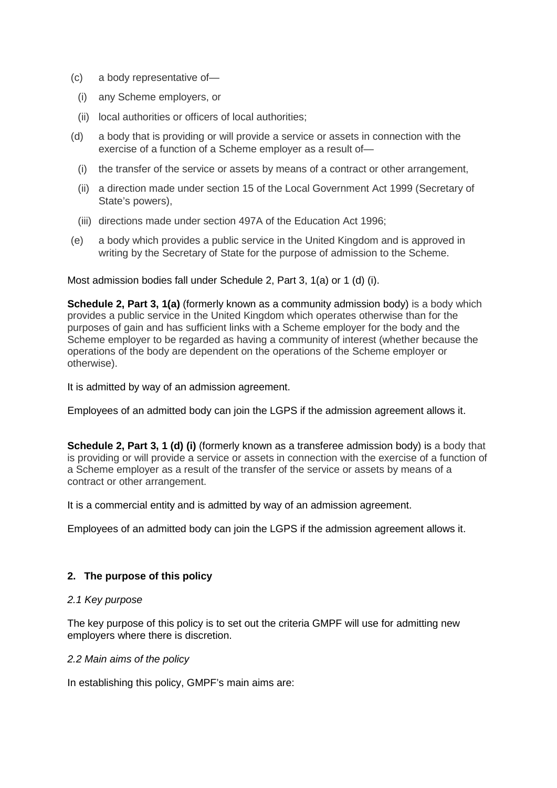- (c) a body representative of—
	- (i) any Scheme employers, or
	- (ii) local authorities or officers of local authorities;
- (d) a body that is providing or will provide a service or assets in connection with the exercise of a function of a Scheme employer as a result of—
	- (i) the transfer of the service or assets by means of a contract or other arrangement,
	- (ii) a direction made under section 15 of the Local Government Act 1999 (Secretary of State's powers),
	- (iii) directions made under section 497A of the Education Act 1996;
- (e) a body which provides a public service in the United Kingdom and is approved in writing by the Secretary of State for the purpose of admission to the Scheme.

Most admission bodies fall under Schedule 2, Part 3, 1(a) or 1 (d) (i).

**Schedule 2, Part 3, 1(a)** (formerly known as a community admission body) is a body which provides a public service in the United Kingdom which operates otherwise than for the purposes of gain and has sufficient links with a Scheme employer for the body and the Scheme employer to be regarded as having a community of interest (whether because the operations of the body are dependent on the operations of the Scheme employer or otherwise).

It is admitted by way of an admission agreement.

Employees of an admitted body can join the LGPS if the admission agreement allows it.

**Schedule 2. Part 3, 1 (d) (i)** (formerly known as a transferee admission body) is a body that is providing or will provide a service or assets in connection with the exercise of a function of a Scheme employer as a result of the transfer of the service or assets by means of a contract or other arrangement.

It is a commercial entity and is admitted by way of an admission agreement.

Employees of an admitted body can join the LGPS if the admission agreement allows it.

# **2. The purpose of this policy**

# *2.1 Key purpose*

The key purpose of this policy is to set out the criteria GMPF will use for admitting new employers where there is discretion.

#### *2.2 Main aims of the policy*

In establishing this policy, GMPF's main aims are: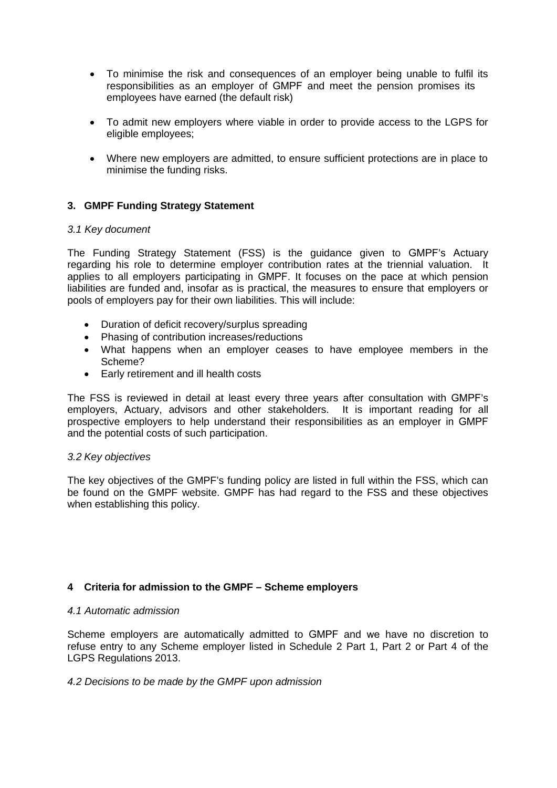- To minimise the risk and consequences of an employer being unable to fulfil its responsibilities as an employer of GMPF and meet the pension promises its employees have earned (the default risk)
- To admit new employers where viable in order to provide access to the LGPS for eligible employees;
- Where new employers are admitted, to ensure sufficient protections are in place to minimise the funding risks.

# **3. GMPF Funding Strategy Statement**

## *3.1 Key document*

The Funding Strategy Statement (FSS) is the guidance given to GMPF's Actuary regarding his role to determine employer contribution rates at the triennial valuation. It applies to all employers participating in GMPF. It focuses on the pace at which pension liabilities are funded and, insofar as is practical, the measures to ensure that employers or pools of employers pay for their own liabilities. This will include:

- Duration of deficit recovery/surplus spreading
- Phasing of contribution increases/reductions
- What happens when an employer ceases to have employee members in the Scheme?
- Early retirement and ill health costs

The FSS is reviewed in detail at least every three years after consultation with GMPF's employers, Actuary, advisors and other stakeholders. It is important reading for all prospective employers to help understand their responsibilities as an employer in GMPF and the potential costs of such participation.

#### *3.2 Key objectives*

The key objectives of the GMPF's funding policy are listed in full within the FSS, which can be found on the GMPF website. GMPF has had regard to the FSS and these objectives when establishing this policy.

# **4 Criteria for admission to the GMPF – Scheme employers**

#### *4.1 Automatic admission*

Scheme employers are automatically admitted to GMPF and we have no discretion to refuse entry to any Scheme employer listed in Schedule 2 Part 1, Part 2 or Part 4 of the LGPS Regulations 2013.

#### *4.2 Decisions to be made by the GMPF upon admission*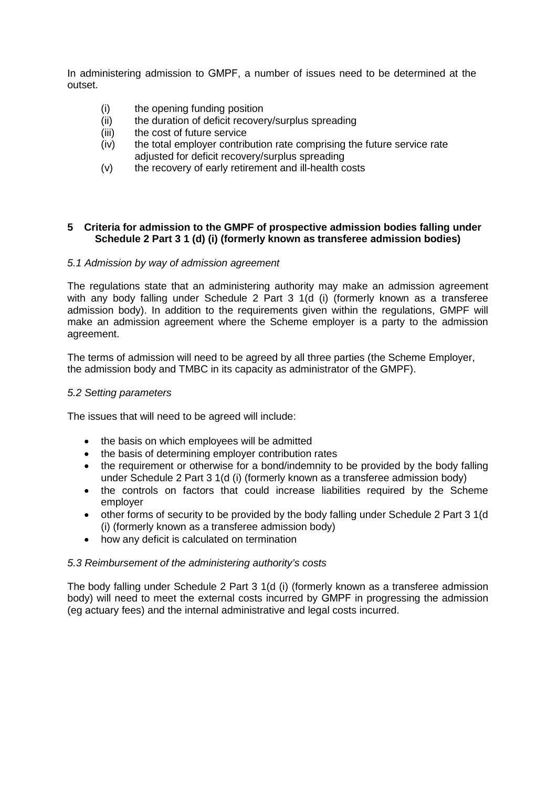In administering admission to GMPF, a number of issues need to be determined at the outset.

- (i) the opening funding position
- (ii) the duration of deficit recovery/surplus spreading
- (iii) the cost of future service
- (iv) the total employer contribution rate comprising the future service rate adjusted for deficit recovery/surplus spreading
- (v) the recovery of early retirement and ill-health costs

## **5 Criteria for admission to the GMPF of prospective admission bodies falling under Schedule 2 Part 3 1 (d) (i) (formerly known as transferee admission bodies)**

## *5.1 Admission by way of admission agreement*

The regulations state that an administering authority may make an admission agreement with any body falling under Schedule 2 Part 3 1(d (i) (formerly known as a transferee admission body). In addition to the requirements given within the regulations, GMPF will make an admission agreement where the Scheme employer is a party to the admission agreement.

The terms of admission will need to be agreed by all three parties (the Scheme Employer, the admission body and TMBC in its capacity as administrator of the GMPF).

## *5.2 Setting parameters*

The issues that will need to be agreed will include:

- the basis on which employees will be admitted
- the basis of determining employer contribution rates
- the requirement or otherwise for a bond/indemnity to be provided by the body falling under Schedule 2 Part 3 1(d (i) (formerly known as a transferee admission body)
- the controls on factors that could increase liabilities required by the Scheme employer
- other forms of security to be provided by the body falling under Schedule 2 Part 3 1(d (i) (formerly known as a transferee admission body)
- how any deficit is calculated on termination

#### *5.3 Reimbursement of the administering authority's costs*

The body falling under Schedule 2 Part 3 1(d (i) (formerly known as a transferee admission body) will need to meet the external costs incurred by GMPF in progressing the admission (eg actuary fees) and the internal administrative and legal costs incurred.